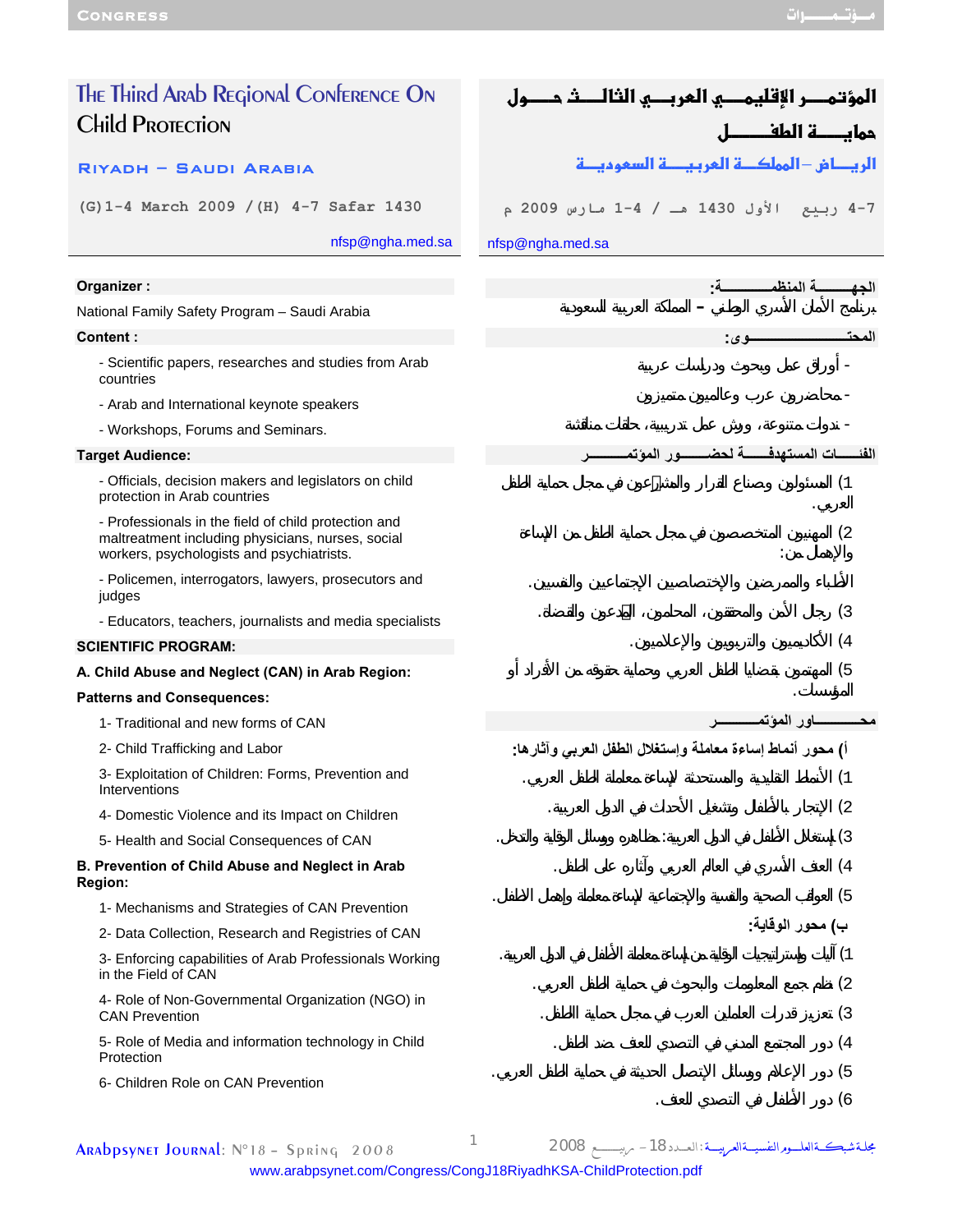| The Third Arab Regional Conference On                                                                                                                  | المؤتمـــر الإقليمـــــي العربــــي الثالــــث حـــــول   |
|--------------------------------------------------------------------------------------------------------------------------------------------------------|-----------------------------------------------------------|
| <b>Child PROTECTION</b>                                                                                                                                | حمايـــــة الطفـــــــــل                                 |
| RIYADH - SAUDI ARABIA                                                                                                                                  | الريطاض –المملكـــة المربيــــة السموديـــة               |
| (G) 1-4 March 2009 / (H) 4-7 Safar 1430                                                                                                                | 7-4 ربيع الأول 1430 هـ / 4-1 مارس 2009 م                  |
| nfsp@ngha.med.sa                                                                                                                                       | nfsp@ngha.med.sa                                          |
| Organizer:                                                                                                                                             | ة المنظم<br>الحه                                          |
| National Family Safety Program - Saudi Arabia                                                                                                          |                                                           |
| <b>Content:</b>                                                                                                                                        | المحت<br>وي:                                              |
| - Scientific papers, researches and studies from Arab<br>countries                                                                                     |                                                           |
| - Arab and International keynote speakers                                                                                                              |                                                           |
| - Workshops, Forums and Seminars.                                                                                                                      |                                                           |
| <b>Target Audience:</b>                                                                                                                                | الفئــــــــات المست <u>ـهدف</u><br>سور المؤتم<br>سة لحضا |
| - Officials, decision makers and legislators on child<br>protection in Arab countries                                                                  | (1)                                                       |
| - Professionals in the field of child protection and<br>maltreatment including physicians, nurses, social<br>workers, psychologists and psychiatrists. | (2)                                                       |
| - Policemen, interrogators, lawyers, prosecutors and<br>judges                                                                                         |                                                           |
| - Educators, teachers, journalists and media specialists                                                                                               | (3)                                                       |
| <b>SCIENTIFIC PROGRAM:</b>                                                                                                                             | (4)                                                       |
| A. Child Abuse and Neglect (CAN) in Arab Region:                                                                                                       | (5)                                                       |
| <b>Patterns and Consequences:</b>                                                                                                                      |                                                           |
| 1- Traditional and new forms of CAN                                                                                                                    |                                                           |
| 2- Child Trafficking and Labor                                                                                                                         | أ) محور أنماط إساءة معاملة وإستغلال الطفل العربي وآثارها: |
| 3- Exploitation of Children: Forms, Prevention and<br>Interventions                                                                                    | (1)                                                       |
| 4- Domestic Violence and its Impact on Children                                                                                                        | (2)                                                       |
| 5- Health and Social Consequences of CAN                                                                                                               | (3)                                                       |
| B. Prevention of Child Abuse and Neglect in Arab<br><b>Region:</b>                                                                                     | (4)                                                       |
| 1- Mechanisms and Strategies of CAN Prevention                                                                                                         | (5)                                                       |
| 2- Data Collection, Research and Registries of CAN                                                                                                     | ب) محور الوقاية:                                          |
| 3- Enforcing capabilities of Arab Professionals Working<br>in the Field of CAN                                                                         | (1<br>(2)                                                 |
| 4- Role of Non-Governmental Organization (NGO) in<br><b>CAN Prevention</b>                                                                             | (3)                                                       |
| 5- Role of Media and information technology in Child<br>Protection                                                                                     | (4)                                                       |
| 6- Children Role on CAN Prevention                                                                                                                     | (5)<br>(6                                                 |

Arabpsynet Journal: N°18 – Spring 2008 <sup>1</sup> <sup>2008</sup> ربيـــــــــــــع -18الـعــــدد:مجلــةشبكـــةالعلــــــومالنفسيــــةالعربيـــــة